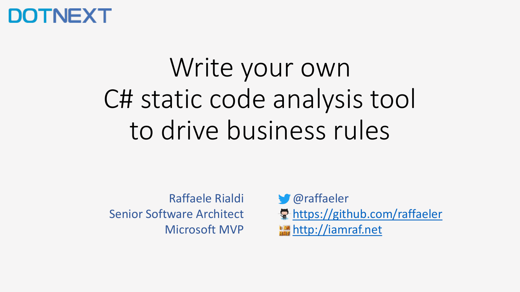### **DOTNEXT**

## Write your own C# static code analysis tool to drive business rules

Raffaele Rialdi Senior Software Architect Microsoft MVP

**S** @raffaeler 景 <https://github.com/raffaeler> [http://iamraf.net](http://iamraf.net/)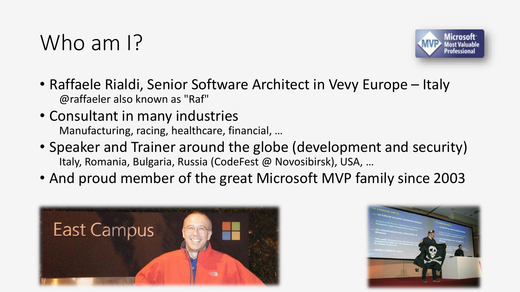### Who am I?



- Raffaele Rialdi, Senior Software Architect in Vevy Europe Italy @raffaeler also known as "Raf"
- Consultant in many industries Manufacturing, racing, healthcare, financial, …
- Speaker and Trainer around the globe (development and security) Italy, Romania, Bulgaria, Russia (CodeFest @ Novosibirsk), USA, …
- And proud member of the great Microsoft MVP family since 2003



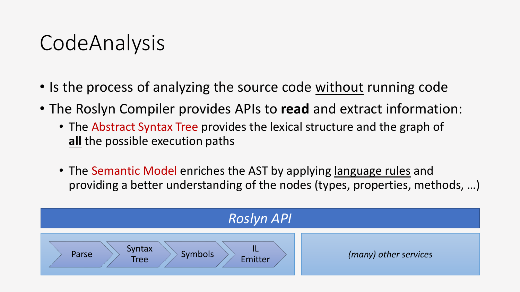### CodeAnalysis

- Is the process of analyzing the source code without running code
- The Roslyn Compiler provides APIs to **read** and extract information:
	- The Abstract Syntax Tree provides the lexical structure and the graph of **all** the possible execution paths
	- The Semantic Model enriches the AST by applying <u>language rules</u> and providing a better understanding of the nodes (types, properties, methods, …)

| <b>Roslyn API</b>                                           |                       |  |
|-------------------------------------------------------------|-----------------------|--|
| Syntax<br><b>Symbols</b><br>Parse<br>Emitter<br><b>Tree</b> | (many) other services |  |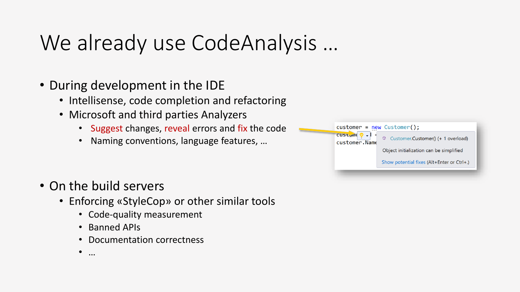### We already use CodeAnalysis …

- During development in the IDE
	- Intellisense, code completion and refactoring
	- Microsoft and third parties Analyzers
		- Suggest changes, reveal errors and fix the code
		- Naming conventions, language features, …



- On the build servers
	- Enforcing «StyleCop» or other similar tools
		- Code-quality measurement
		- Banned APIs
		- Documentation correctness
		- …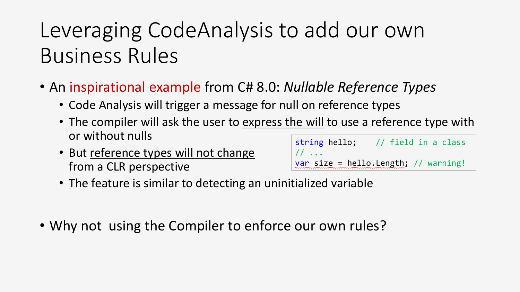### Leveraging CodeAnalysis to add our own Business Rules

- An inspirational example from C# 8.0: *Nullable Reference Types*
	- Code Analysis will trigger a message for null on reference types
	- The compiler will ask the user to express the will to use a reference type with or without nulls
	- But reference types will not change from a CLR perspective

| string hello;                               | // field in a class |
|---------------------------------------------|---------------------|
| $1/1$                                       |                     |
| <u>var size = hello.Length; // warning!</u> |                     |

- The feature is similar to detecting an uninitialized variable
- Why not using the Compiler to enforce our own rules?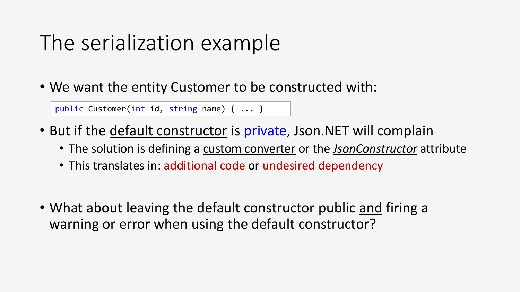### The serialization example

• We want the entity Customer to be constructed with:

public Customer(int id, string name) { ... }

- But if the default constructor is private, Json. NET will complain
	- The solution is defining a custom converter or the *JsonConstructor* attribute
	- This translates in: additional code or undesired dependency
- What about leaving the default constructor public and firing a warning or error when using the default constructor?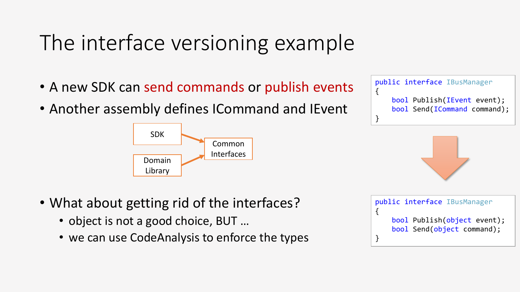### The interface versioning example

- A new SDK can send commands or publish events
- Another assembly defines ICommand and IEvent



- What about getting rid of the interfaces?
	- object is not a good choice, BUT ...
	- we can use CodeAnalysis to enforce the types





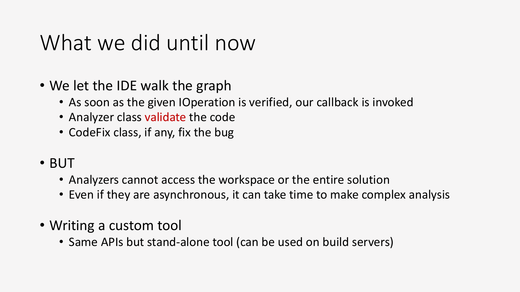### What we did until now

- We let the IDE walk the graph
	- As soon as the given IOperation is verified, our callback is invoked
	- Analyzer class validate the code
	- CodeFix class, if any, fix the bug
- BUT
	- Analyzers cannot access the workspace or the entire solution
	- Even if they are asynchronous, it can take time to make complex analysis
- Writing a custom tool
	- Same APIs but stand-alone tool (can be used on build servers)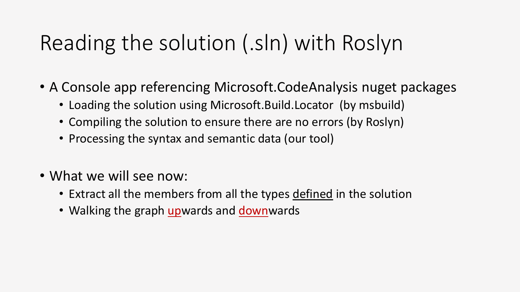### Reading the solution (.sln) with Roslyn

- A Console app referencing Microsoft.CodeAnalysis nuget packages
	- Loading the solution using Microsoft.Build.Locator (by msbuild)
	- Compiling the solution to ensure there are no errors (by Roslyn)
	- Processing the syntax and semantic data (our tool)
- What we will see now:
	- Extract all the members from all the types defined in the solution
	- Walking the graph upwards and downwards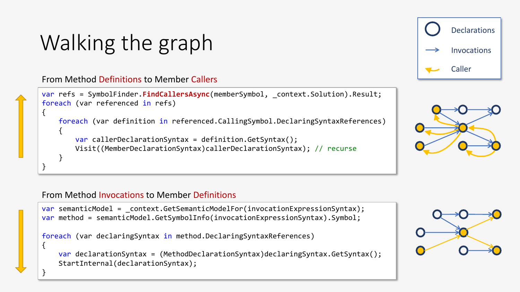### Walking the graph

From Method Definitions to Member Callers

```
var refs = SymbolFinder.FindCallersAsync(memberSymbol, context.Solution).Result;
foreach (var referenced in refs)
{
   foreach (var definition in referenced.CallingSymbol.DeclaringSyntaxReferences)
    {
       var callerDeclarationSyntax = definition.GetSyntax();
       Visit((MemberDeclarationSyntax)callerDeclarationSyntax); // recurse
    }
}
```




#### From Method Invocations to Member Definitions

{

}

```
var semanticModel = context.GetSemanticModelFor(invocationExpressionSyntax);
var method = semanticModel.GetSymbolInfo(invocationExpressionSyntax).Symbol;
```
foreach (var declaringSyntax in method.DeclaringSyntaxReferences)

```
var declarationSyntax = (MethodDeclarationSyntax)declaringSyntax.GetSyntax();
StartInternal(declarationSyntax);
```
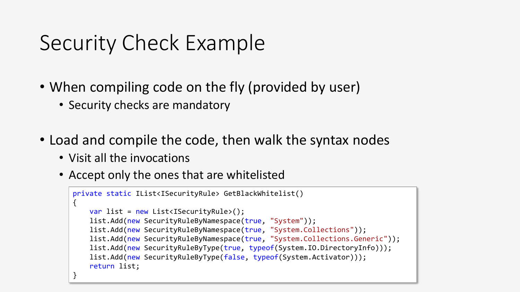### Security Check Example

- When compiling code on the fly (provided by user)
	- Security checks are mandatory
- Load and compile the code, then walk the syntax nodes
	- Visit all the invocations
	- Accept only the ones that are whitelisted

```
private static IList<ISecurityRule> GetBlackWhitelist()
\{var list = new List<ISecurityRule>();
    list.Add(new SecurityRuleByNamespace(true, "System"));
   list.Add(new SecurityRuleByNamespace(true, "System.Collections"));
    list.Add(new SecurityRuleByNamespace(true, "System.Collections.Generic"));
   list.Add(new SecurityRuleByType(true, typeof(System.IO.DirectoryInfo)));
   list.Add(new SecurityRuleByType(false, typeof(System.Activator)));
    return list;
}
```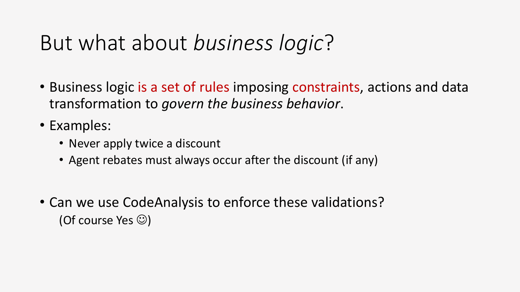### But what about *business logic*?

- Business logic is a set of rules imposing constraints, actions and data transformation to *govern the business behavior*.
- Examples:
	- Never apply twice a discount
	- Agent rebates must always occur after the discount (if any)
- Can we use CodeAnalysis to enforce these validations? (Of course Yes  $\circledcirc$ )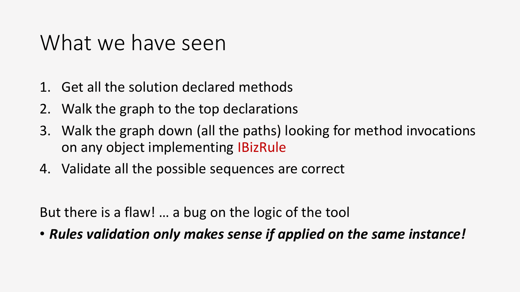### What we have seen

- 1. Get all the solution declared methods
- 2. Walk the graph to the top declarations
- 3. Walk the graph down (all the paths) looking for method invocations on any object implementing IBizRule
- 4. Validate all the possible sequences are correct

But there is a flaw! … a bug on the logic of the tool

• *Rules validation only makes sense if applied on the same instance!*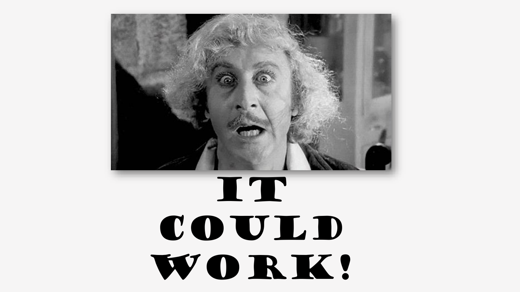# IT could WORK!

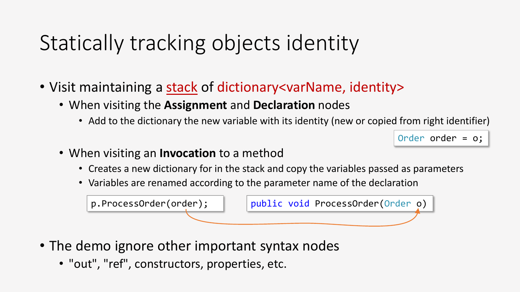### Statically tracking objects identity

- Visit maintaining a stack of dictionary<varName, identity>
	- When visiting the **Assignment** and **Declaration** nodes
		- Add to the dictionary the new variable with its identity (new or copied from right identifier)

```
Order order = o;
```
- When visiting an **Invocation** to a method
	- Creates a new dictionary for in the stack and copy the variables passed as parameters
	- Variables are renamed according to the parameter name of the declaration

p.ProcessOrder(order); | | public void ProcessOrder(Order o)

- The demo ignore other important syntax nodes
	- "out", "ref", constructors, properties, etc.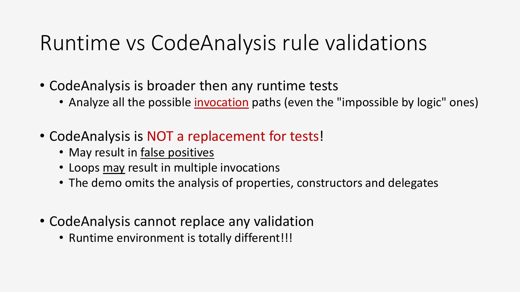### Runtime vs CodeAnalysis rule validations

- CodeAnalysis is broader then any runtime tests
	- Analyze all the possible invocation paths (even the "impossible by logic" ones)
- CodeAnalysis is NOT a replacement for tests!
	- May result in false positives
	- Loops may result in multiple invocations
	- The demo omits the analysis of properties, constructors and delegates
- CodeAnalysis cannot replace any validation
	- Runtime environment is totally different!!!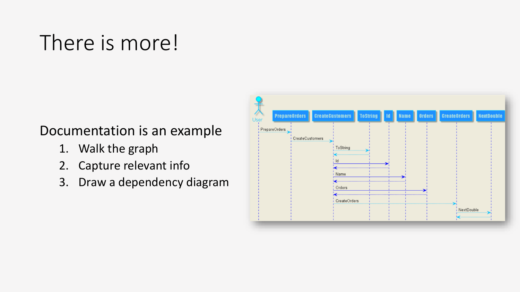### There is more!

#### Documentation is an example

- 1. Walk the graph
- 2. Capture relevant info
- 3. Draw a dependency diagram

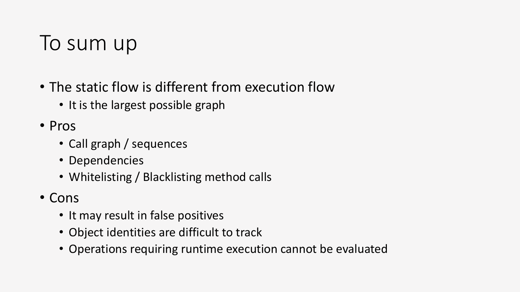### To sum up

- The static flow is different from execution flow
	- It is the largest possible graph
- Pros
	- Call graph / sequences
	- Dependencies
	- Whitelisting / Blacklisting method calls
- Cons
	- It may result in false positives
	- Object identities are difficult to track
	- Operations requiring runtime execution cannot be evaluated